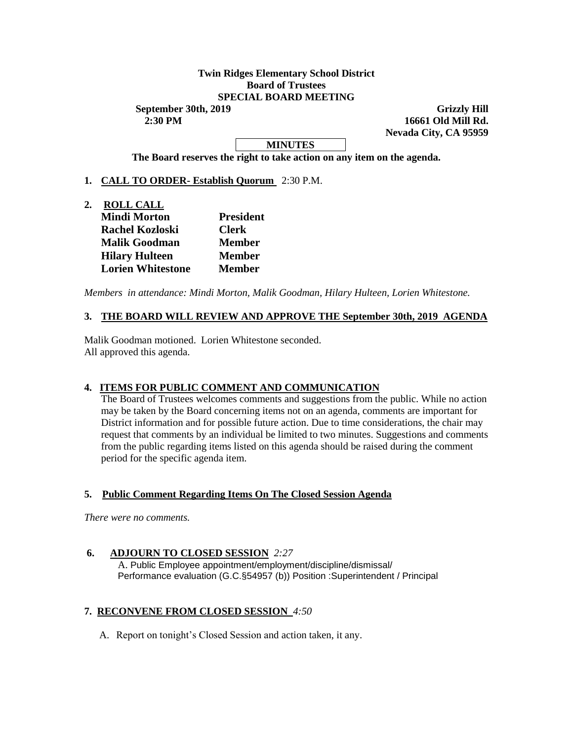## **Twin Ridges Elementary School District Board of Trustees SPECIAL BOARD MEETING**

**September 30th, 2019 Grizzly Hill 2:30 PM 16661 Old Mill Rd. Nevada City, CA 95959**

# **MINUTES**

**The Board reserves the right to take action on any item on the agenda.**

## **1. CALL TO ORDER- Establish Quorum** 2:30 P.M.

**2. ROLL CALL Mindi Morton President Rachel Kozloski Clerk Malik Goodman Member Hilary Hulteen Member Lorien Whitestone Member** 

*Members in attendance: Mindi Morton, Malik Goodman, Hilary Hulteen, Lorien Whitestone.* 

## **3. THE BOARD WILL REVIEW AND APPROVE THE September 30th, 2019 AGENDA**

Malik Goodman motioned. Lorien Whitestone seconded. All approved this agenda.

### **4. ITEMS FOR PUBLIC COMMENT AND COMMUNICATION**

The Board of Trustees welcomes comments and suggestions from the public. While no action may be taken by the Board concerning items not on an agenda, comments are important for District information and for possible future action. Due to time considerations, the chair may request that comments by an individual be limited to two minutes. Suggestions and comments from the public regarding items listed on this agenda should be raised during the comment period for the specific agenda item.

### **5. Public Comment Regarding Items On The Closed Session Agenda**

*There were no comments.*

### **6. ADJOURN TO CLOSED SESSION** *2:27*

A. Public Employee appointment/employment/discipline/dismissal/ Performance evaluation (G.C.§54957 (b)) Position :Superintendent / Principal

#### **7. RECONVENE FROM CLOSED SESSION** *4:50*

A. Report on tonight's Closed Session and action taken, it any.